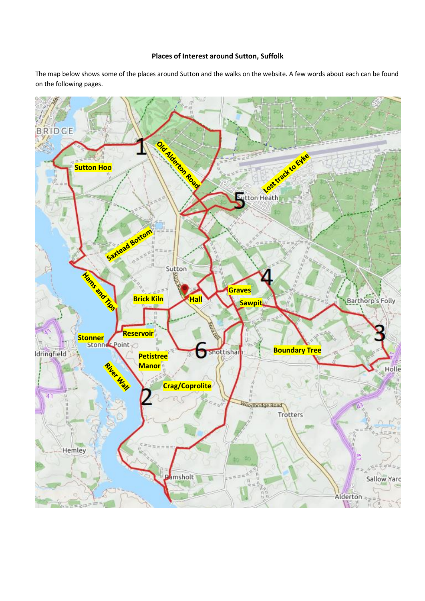## **Places of Interest around Sutton, Suffolk**

The map below shows some of the places around Sutton and the walks on the website. A few words about each can be found on the following pages.

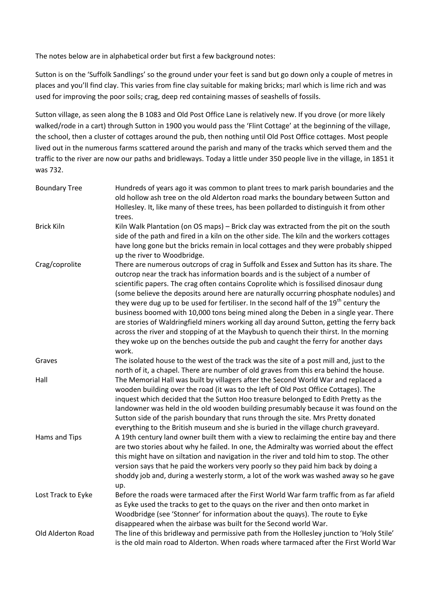The notes below are in alphabetical order but first a few background notes:

Sutton is on the 'Suffolk Sandlings' so the ground under your feet is sand but go down only a couple of metres in places and you'll find clay. This varies from fine clay suitable for making bricks; marl which is lime rich and was used for improving the poor soils; crag, deep red containing masses of seashells of fossils.

Sutton village, as seen along the B 1083 and Old Post Office Lane is relatively new. If you drove (or more likely walked/rode in a cart) through Sutton in 1900 you would pass the 'Flint Cottage' at the beginning of the village, the school, then a cluster of cottages around the pub, then nothing until Old Post Office cottages. Most people lived out in the numerous farms scattered around the parish and many of the tracks which served them and the traffic to the river are now our paths and bridleways. Today a little under 350 people live in the village, in 1851 it was 732.

| <b>Boundary Tree</b> | Hundreds of years ago it was common to plant trees to mark parish boundaries and the<br>old hollow ash tree on the old Alderton road marks the boundary between Sutton and<br>Hollesley. It, like many of these trees, has been pollarded to distinguish it from other<br>trees.                                                                                                                                                                                                                                                                                                                                                                                                                                                                                                                                                                |
|----------------------|-------------------------------------------------------------------------------------------------------------------------------------------------------------------------------------------------------------------------------------------------------------------------------------------------------------------------------------------------------------------------------------------------------------------------------------------------------------------------------------------------------------------------------------------------------------------------------------------------------------------------------------------------------------------------------------------------------------------------------------------------------------------------------------------------------------------------------------------------|
| <b>Brick Kiln</b>    | Kiln Walk Plantation (on OS maps) - Brick clay was extracted from the pit on the south<br>side of the path and fired in a kiln on the other side. The kiln and the workers cottages<br>have long gone but the bricks remain in local cottages and they were probably shipped<br>up the river to Woodbridge.                                                                                                                                                                                                                                                                                                                                                                                                                                                                                                                                     |
| Crag/coprolite       | There are numerous outcrops of crag in Suffolk and Essex and Sutton has its share. The<br>outcrop near the track has information boards and is the subject of a number of<br>scientific papers. The crag often contains Coprolite which is fossilised dinosaur dung<br>(some believe the deposits around here are naturally occurring phosphate nodules) and<br>they were dug up to be used for fertiliser. In the second half of the 19 <sup>th</sup> century the<br>business boomed with 10,000 tons being mined along the Deben in a single year. There<br>are stories of Waldringfield miners working all day around Sutton, getting the ferry back<br>across the river and stopping of at the Maybush to quench their thirst. In the morning<br>they woke up on the benches outside the pub and caught the ferry for another days<br>work. |
| Graves               | The isolated house to the west of the track was the site of a post mill and, just to the<br>north of it, a chapel. There are number of old graves from this era behind the house.                                                                                                                                                                                                                                                                                                                                                                                                                                                                                                                                                                                                                                                               |
| Hall                 | The Memorial Hall was built by villagers after the Second World War and replaced a<br>wooden building over the road (it was to the left of Old Post Office Cottages). The<br>inquest which decided that the Sutton Hoo treasure belonged to Edith Pretty as the<br>landowner was held in the old wooden building presumably because it was found on the<br>Sutton side of the parish boundary that runs through the site. Mrs Pretty donated<br>everything to the British museum and she is buried in the village church graveyard.                                                                                                                                                                                                                                                                                                             |
| Hams and Tips        | A 19th century land owner built them with a view to reclaiming the entire bay and there<br>are two stories about why he failed. In one, the Admiralty was worried about the effect<br>this might have on siltation and navigation in the river and told him to stop. The other<br>version says that he paid the workers very poorly so they paid him back by doing a<br>shoddy job and, during a westerly storm, a lot of the work was washed away so he gave<br>up.                                                                                                                                                                                                                                                                                                                                                                            |
| Lost Track to Eyke   | Before the roads were tarmaced after the First World War farm traffic from as far afield<br>as Eyke used the tracks to get to the quays on the river and then onto market in<br>Woodbridge (see 'Stonner' for information about the quays). The route to Eyke<br>disappeared when the airbase was built for the Second world War.                                                                                                                                                                                                                                                                                                                                                                                                                                                                                                               |
| Old Alderton Road    | The line of this bridleway and permissive path from the Hollesley junction to 'Holy Stile'<br>is the old main road to Alderton. When roads where tarmaced after the First World War                                                                                                                                                                                                                                                                                                                                                                                                                                                                                                                                                                                                                                                             |